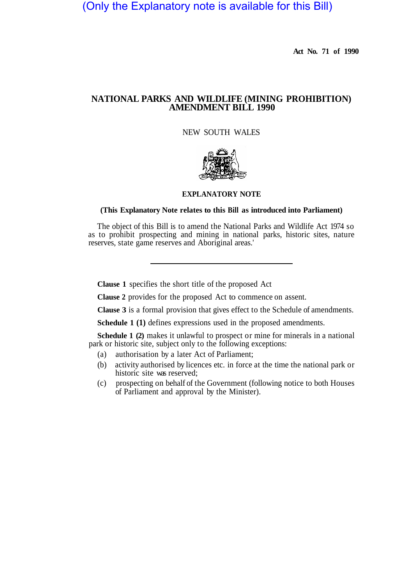(Only the Explanatory note is available for this Bill)

**Act No. 71 of 1990** 

## **NATIONAL PARKS AND WILDLIFE (MINING PROHIBITION) AMENDMENT BILL 1990**

NEW SOUTH WALES



## **EXPLANATORY NOTE**

## **(This Explanatory Note relates to this Bill as introduced into Parliament)**

The object of this Bill is to amend the National Parks and Wildlife Act 1974 so as to prohibit prospecting and mining in national parks, historic sites, nature reserves, state game reserves and Aboriginal areas.'

**Clause 1** specifies the short title of the proposed Act

**Clause 2** provides for the proposed Act to commence on assent.

**Clause 3** is a formal provision that gives effect to the Schedule of amendments.

**Schedule 1 (1)** defines expressions used in the proposed amendments.

**Schedule 1 (2)** makes it unlawful to prospect or mine for minerals in a national park or historic site, subject only to the following exceptions:

- (a) authorisation by a later Act of Parliament;
- (b) activity authorised by licences etc. in force at the time the national park or historic site was reserved;
- (c) prospecting on behalf of the Government (following notice to both Houses of Parliament and approval by the Minister).